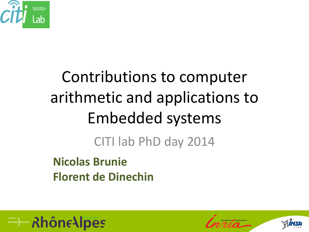

## Contributions to computer arithmetic and applications to Embedded systems

CITI lab PhD day 2014

**Nicolas Brunie Florent de Dinechin**

**Example on RhôneAlpes** 



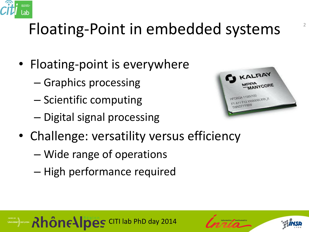

#### Floating-Point in embedded systems

- Floating-point is everywhere
	- Graphics processing
	- Scientific computing
	- Digital signal processing



- Challenge: versatility versus efficiency
	- Wide range of operations
	- High performance required

**Example 5 Rhône Alpes** CITI lab PhD day 2014



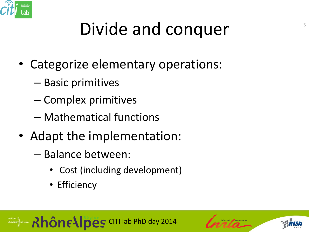

## Divide and conquer

- Categorize elementary operations:
	- Basic primitives
	- Complex primitives
	- Mathematical functions
- Adapt the implementation:
	- Balance between:
		- Cost (including development)
		- Efficiency



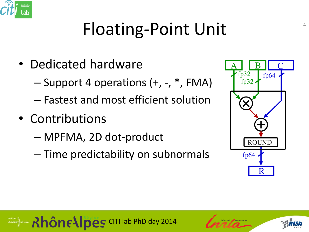

## Floating-Point Unit

- Dedicated hardware
	- Support 4 operations (+, -, \*, FMA)
	- Fastest and most efficient solution
- Contributions
	- MPFMA, 2D dot-product
	- Time predictability on subnormals



#### **CALLES CITI lab PhD day 2014**



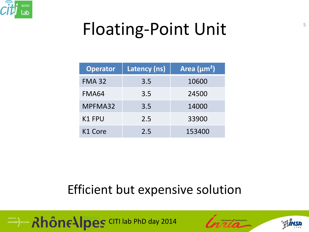

## Floating-Point Unit

| <b>Operator</b> | Latency (ns) | Area $(\mu m^2)$ |  |
|-----------------|--------------|------------------|--|
| <b>FMA 32</b>   | 3.5          | 10600            |  |
| <b>FMA64</b>    | 3.5          | 24500            |  |
| MPFMA32         | 3.5          | 14000            |  |
| <b>K1 FPU</b>   | 2.5          | 33900            |  |
| K1 Core         | 2.5          | 153400           |  |

#### Efficient but expensive solution





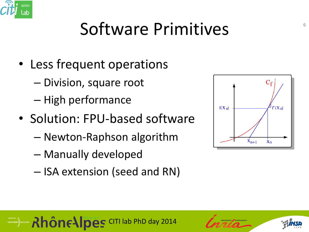

#### Software Primitives

- Less frequent operations
	- Division, square root
	- High performance
- Solution: FPU-based software
	- Newton-Raphson algorithm
	- Manually developed
	- ISA extension (seed and RN)





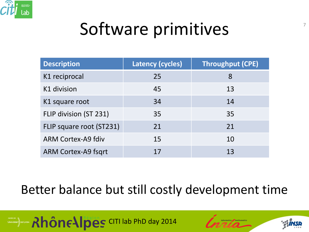

#### Software primitives

| <b>Description</b>         | <b>Latency (cycles)</b> | <b>Throughput (CPE)</b> |
|----------------------------|-------------------------|-------------------------|
| K1 reciprocal              | 25                      | 8                       |
| K1 division                | 45                      | 13                      |
| K1 square root             | 34                      | 14                      |
| FLIP division (ST 231)     | 35                      | 35                      |
| FLIP square root (ST231)   | 21                      | 21                      |
| <b>ARM Cortex-A9 fdiv</b>  | 15                      | 10                      |
| <b>ARM Cortex-A9 fsgrt</b> | 17                      | 13                      |

#### Better balance but still costly development time







7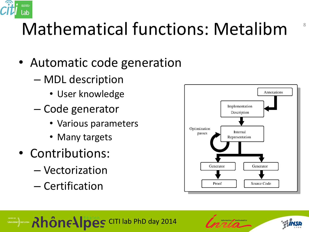

### Mathematical functions: Metalibm

- Automatic code generation
	- MDL description
		- User knowledge
	- Code generator
		- Various parameters
		- Many targets
- Contributions:
	- Vectorization
	- Certification





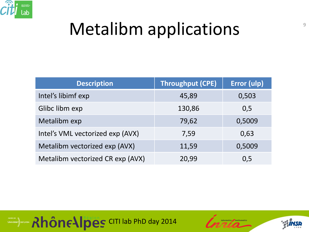

#### Metalibm applications

| <b>Description</b>               | <b>Throughput (CPE)</b> | Error (ulp) |
|----------------------------------|-------------------------|-------------|
| Intel's libimf exp               | 45,89                   | 0,503       |
| Glibc libm exp                   | 130,86                  | 0,5         |
| Metalibm exp                     | 79,62                   | 0,5009      |
| Intel's VML vectorized exp (AVX) | 7,59                    | 0,63        |
| Metalibm vectorized exp (AVX)    | 11,59                   | 0,5009      |
| Metalibm vectorized CR exp (AVX) | 20,99                   | 0,5         |





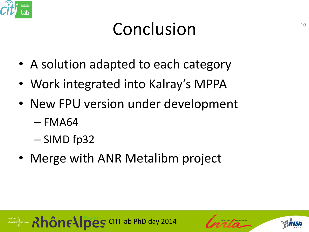

#### Conclusion

- A solution adapted to each category
- Work integrated into Kalray's MPPA
- New FPU version under development
	- $-$  FMA64
	- SIMD fp32
- Merge with ANR Metalibm project